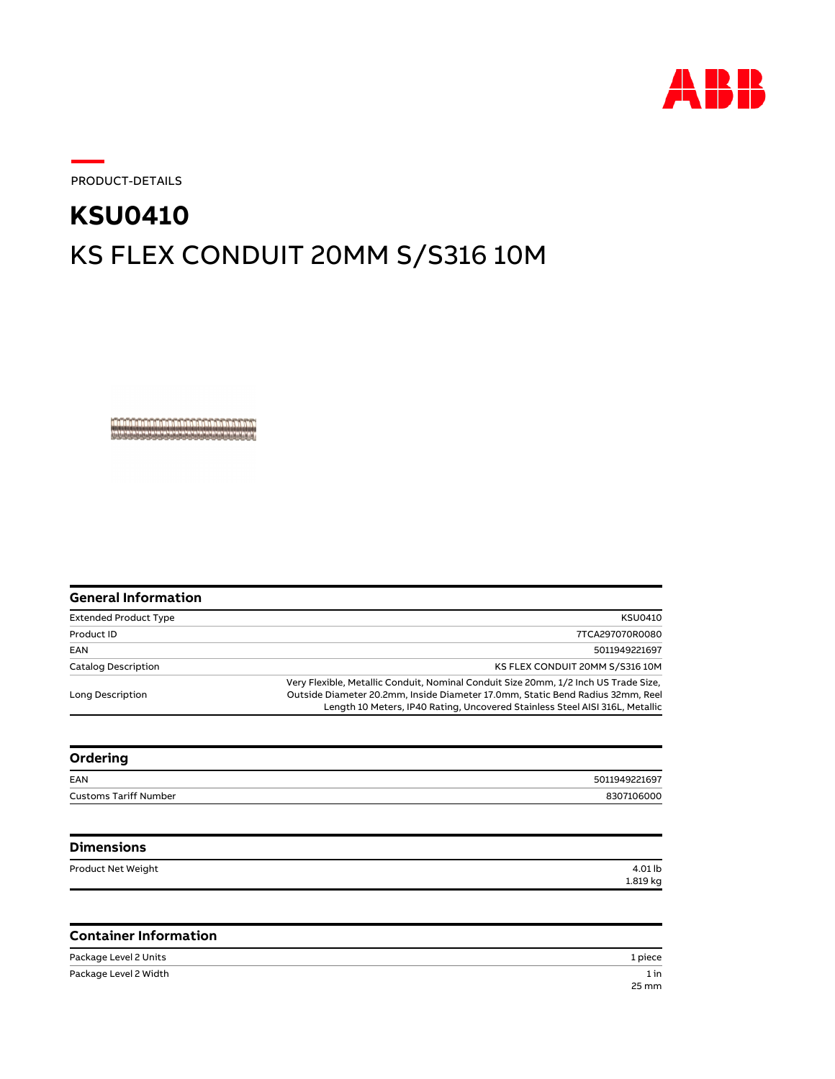

PRODUCT-DETAILS

## KS FLEX CONDUIT 20MM S/S316 10M **KSU0410**

<u> A BARA A BARA DA BARA DA BARA DA BARA</u>

| General Information          |                                                                                                                                                                                                                                                       |
|------------------------------|-------------------------------------------------------------------------------------------------------------------------------------------------------------------------------------------------------------------------------------------------------|
| <b>Extended Product Type</b> | <b>KSU0410</b>                                                                                                                                                                                                                                        |
| Product ID                   | 7TCA297070R0080                                                                                                                                                                                                                                       |
| EAN                          | 5011949221697                                                                                                                                                                                                                                         |
| Catalog Description          | KS FLEX CONDUIT 20MM S/S316 10M                                                                                                                                                                                                                       |
| Long Description             | Very Flexible, Metallic Conduit, Nominal Conduit Size 20mm, 1/2 Inch US Trade Size,<br>Outside Diameter 20.2mm, Inside Diameter 17.0mm, Static Bend Radius 32mm, Reel<br>Length 10 Meters, IP40 Rating, Uncovered Stainless Steel AISI 316L, Metallic |

| Ordering                     |               |
|------------------------------|---------------|
| EAN                          | 5011949221697 |
| <b>Customs Tariff Number</b> | 8307106000    |
|                              |               |

| <b>Dimensions</b>  |          |
|--------------------|----------|
| Product Net Weight | 4.01 lb  |
|                    | 1.819 kg |

## **Container Information**

| Package Level 2 Units | 1 piece |
|-----------------------|---------|
| Package Level 2 Width | 1 in    |
|                       | 25 mm   |